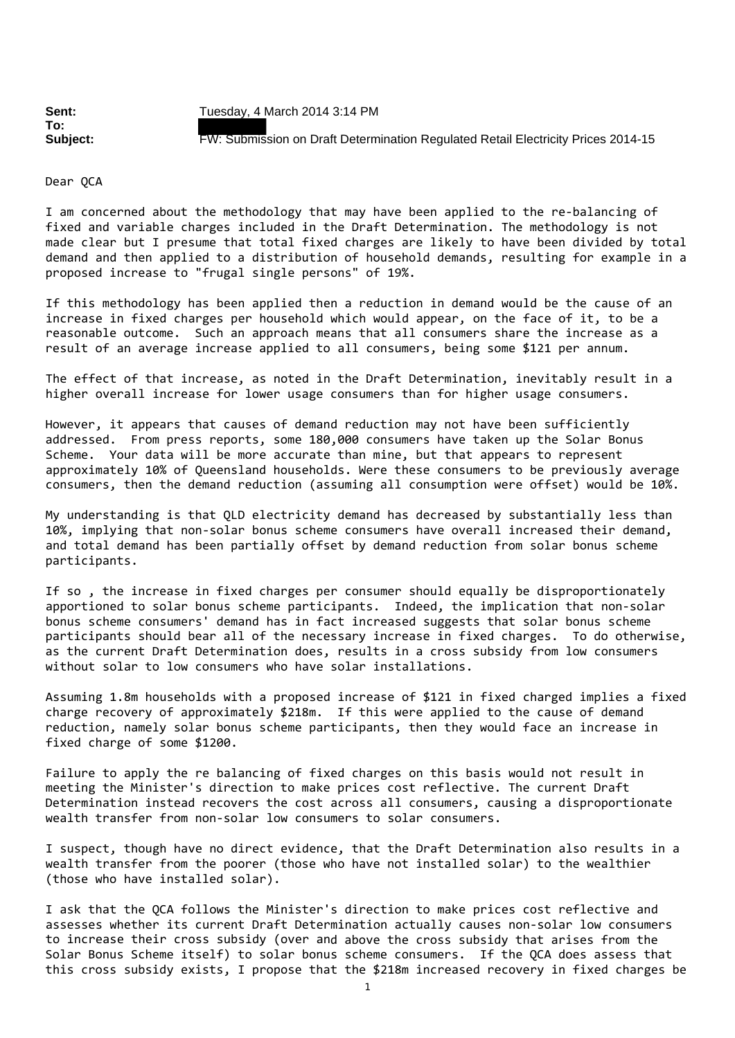| Sent:    | Tuesday, 4 March 2014 3:14 PM                                                            |
|----------|------------------------------------------------------------------------------------------|
| To:      |                                                                                          |
| Subject: | <b>FW: Submission on Draft Determination Regulated Retail Electricity Prices 2014-15</b> |

Dear QCA

I am concerned about the methodology that may have been applied to the re‐balancing of fixed and variable charges included in the Draft Determination. The methodology is not made clear but I presume that total fixed charges are likely to have been divided by total demand and then applied to a distribution of household demands, resulting for example in a proposed increase to "frugal single persons" of 19%.

If this methodology has been applied then a reduction in demand would be the cause of an increase in fixed charges per household which would appear, on the face of it, to be a reasonable outcome. Such an approach means that all consumers share the increase as a result of an average increase applied to all consumers, being some \$121 per annum.

The effect of that increase, as noted in the Draft Determination, inevitably result in a higher overall increase for lower usage consumers than for higher usage consumers.

However, it appears that causes of demand reduction may not have been sufficiently addressed. From press reports, some 180,000 consumers have taken up the Solar Bonus Scheme. Your data will be more accurate than mine, but that appears to represent approximately 10% of Queensland households. Were these consumers to be previously average consumers, then the demand reduction (assuming all consumption were offset) would be 10%.

My understanding is that QLD electricity demand has decreased by substantially less than 10%, implying that non-solar bonus scheme consumers have overall increased their demand, and total demand has been partially offset by demand reduction from solar bonus scheme participants.

If so , the increase in fixed charges per consumer should equally be disproportionately apportioned to solar bonus scheme participants. Indeed, the implication that non‐solar bonus scheme consumers' demand has in fact increased suggests that solar bonus scheme participants should bear all of the necessary increase in fixed charges. To do otherwise, as the current Draft Determination does, results in a cross subsidy from low consumers without solar to low consumers who have solar installations.

Assuming 1.8m households with a proposed increase of \$121 in fixed charged implies a fixed charge recovery of approximately \$218m. If this were applied to the cause of demand reduction, namely solar bonus scheme participants, then they would face an increase in fixed charge of some \$1200.

Failure to apply the re balancing of fixed charges on this basis would not result in meeting the Minister's direction to make prices cost reflective. The current Draft Determination instead recovers the cost across all consumers, causing a disproportionate wealth transfer from non-solar low consumers to solar consumers.

I suspect, though have no direct evidence, that the Draft Determination also results in a wealth transfer from the poorer (those who have not installed solar) to the wealthier (those who have installed solar).

I ask that the QCA follows the Minister's direction to make prices cost reflective and assesses whether its current Draft Determination actually causes non‐solar low consumers to increase their cross subsidy (over and above the cross subsidy that arises from the Solar Bonus Scheme itself) to solar bonus scheme consumers. If the QCA does assess that this cross subsidy exists, I propose that the \$218m increased recovery in fixed charges be